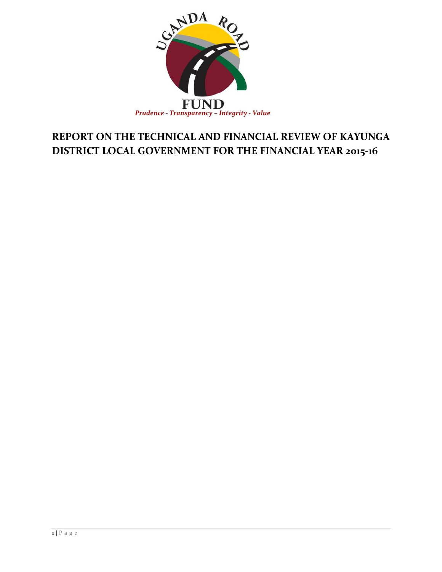

## **REPORT ON THE TECHNICAL AND FINANCIAL REVIEW OF KAYUNGA DISTRICT LOCAL GOVERNMENT FOR THE FINANCIAL YEAR 2015-16**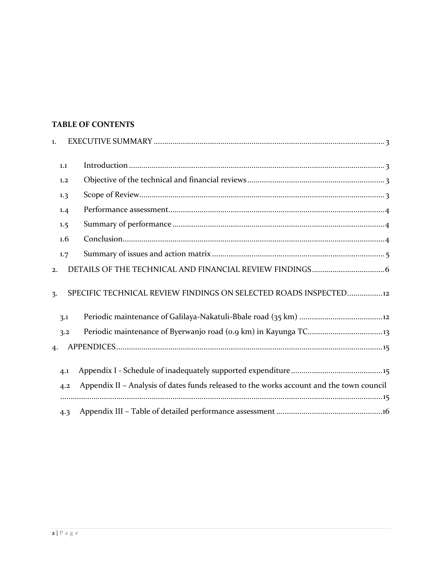## **TABLE OF CONTENTS**

| 1. |     |                                                                                          |
|----|-----|------------------------------------------------------------------------------------------|
|    | 1.1 |                                                                                          |
|    | 1.2 |                                                                                          |
|    | 1.3 |                                                                                          |
|    | 1.4 |                                                                                          |
|    | 1.5 |                                                                                          |
|    | 1.6 |                                                                                          |
|    | 1.7 |                                                                                          |
| 2. |     |                                                                                          |
| 3. |     | SPECIFIC TECHNICAL REVIEW FINDINGS ON SELECTED ROADS INSPECTED12                         |
|    | 3.1 |                                                                                          |
|    | 3.2 |                                                                                          |
| 4. |     |                                                                                          |
|    | 4.1 |                                                                                          |
|    | 4.2 | Appendix II - Analysis of dates funds released to the works account and the town council |
|    | 4.3 |                                                                                          |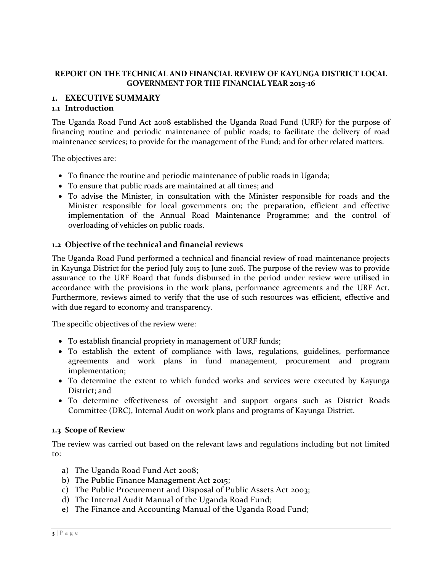## **REPORT ON THE TECHNICAL AND FINANCIAL REVIEW OF KAYUNGA DISTRICT LOCAL GOVERNMENT FOR THE FINANCIAL YEAR 2015-16**

## <span id="page-2-0"></span>**1. EXECUTIVE SUMMARY**

### <span id="page-2-1"></span>**1.1 Introduction**

The Uganda Road Fund Act 2008 established the Uganda Road Fund (URF) for the purpose of financing routine and periodic maintenance of public roads; to facilitate the delivery of road maintenance services; to provide for the management of the Fund; and for other related matters.

The objectives are:

- To finance the routine and periodic maintenance of public roads in Uganda;
- To ensure that public roads are maintained at all times; and
- To advise the Minister, in consultation with the Minister responsible for roads and the Minister responsible for local governments on; the preparation, efficient and effective implementation of the Annual Road Maintenance Programme; and the control of overloading of vehicles on public roads.

### <span id="page-2-2"></span>**1.2 Objective of the technical and financial reviews**

The Uganda Road Fund performed a technical and financial review of road maintenance projects in Kayunga District for the period July 2015 to June 2016. The purpose of the review was to provide assurance to the URF Board that funds disbursed in the period under review were utilised in accordance with the provisions in the work plans, performance agreements and the URF Act. Furthermore, reviews aimed to verify that the use of such resources was efficient, effective and with due regard to economy and transparency.

The specific objectives of the review were:

- To establish financial propriety in management of URF funds;
- To establish the extent of compliance with laws, regulations, guidelines, performance agreements and work plans in fund management, procurement and program implementation;
- To determine the extent to which funded works and services were executed by Kayunga District; and
- To determine effectiveness of oversight and support organs such as District Roads Committee (DRC), Internal Audit on work plans and programs of Kayunga District.

#### <span id="page-2-3"></span>**1.3 Scope of Review**

The review was carried out based on the relevant laws and regulations including but not limited to:

- a) The Uganda Road Fund Act 2008;
- b) The Public Finance Management Act 2015;
- c) The Public Procurement and Disposal of Public Assets Act 2003;
- d) The Internal Audit Manual of the Uganda Road Fund;
- e) The Finance and Accounting Manual of the Uganda Road Fund;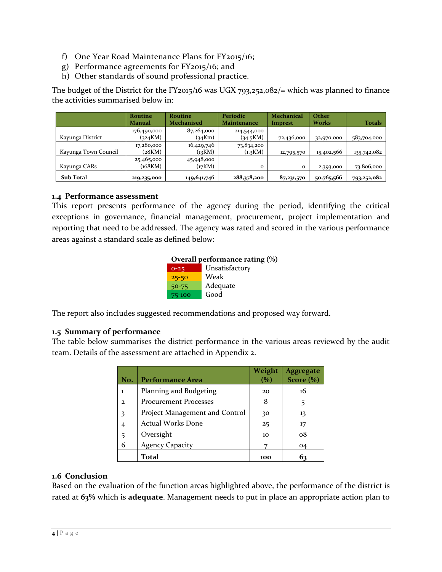- f) One Year Road Maintenance Plans for FY2015/16;
- g) Performance agreements for FY2015/16; and
- h) Other standards of sound professional practice.

The budget of the District for the FY2015/16 was UGX 793,252,082/= which was planned to finance the activities summarised below in:

|                      | <b>Routine</b><br>Manual | <b>Routine</b><br><b>Mechanised</b> | Periodic<br>Maintenance | <b>Mechanical</b><br><b>Imprest</b> | Other<br>Works | Totals      |
|----------------------|--------------------------|-------------------------------------|-------------------------|-------------------------------------|----------------|-------------|
| Kayunga District     | 176,490,000<br>(324KM)   | 87,264,000<br>(34Km)                | 214,544,000<br>(34.5KM) | 72,436,000                          | 32,970,000     | 583,704,000 |
| Kayunga Town Council | 17,280,000<br>(28KM)     | 16,429,746<br>(i3KM)                | 73,834,200<br>(1.3KM)   | 12,795,570                          | 15,402,566     | 135,742,082 |
| Kayunga CARs         | 25,465,000<br>(168KM)    | 45,948,000<br>$_{17}$ KM)           | $\Omega$                | $\mathbf{o}$                        | 2,393,000      | 73,806,000  |
| <b>Sub Total</b>     | 219,235,000              | 149,641,746                         | 288,378,200             | 87,231,570                          | 50,765,566     | 793,252,082 |

## <span id="page-3-0"></span>**1.4 Performance assessment**

This report presents performance of the agency during the period, identifying the critical exceptions in governance, financial management, procurement, project implementation and reporting that need to be addressed. The agency was rated and scored in the various performance areas against a standard scale as defined below:

| Overall performance rating (%) |                |  |  |  |
|--------------------------------|----------------|--|--|--|
| $0 - 25$                       | Unsatisfactory |  |  |  |
| $25 - 50$                      | Weak           |  |  |  |
| $50 - 75$                      | Adequate       |  |  |  |
| 75-100                         | Good           |  |  |  |

The report also includes suggested recommendations and proposed way forward.

## <span id="page-3-1"></span>**1.5 Summary of performance**

The table below summarises the district performance in the various areas reviewed by the audit team. Details of the assessment are attached in Appendix 2.

| No.          | <b>Performance Area</b>        | Weight<br>(%) | Aggregate<br>Score $(\%)$ |
|--------------|--------------------------------|---------------|---------------------------|
| ı            | Planning and Budgeting         | 20            | 16                        |
| $\mathbf{2}$ | <b>Procurement Processes</b>   | 8             | 5                         |
| 3            | Project Management and Control | 30            | 13                        |
| 4            | <b>Actual Works Done</b>       | 25            | 17                        |
| 5            | Oversight                      | 10            | $\Omega$                  |
| 6            | <b>Agency Capacity</b>         |               | 04                        |
|              | Total                          | 100           | 63                        |

## <span id="page-3-2"></span>**1.6 Conclusion**

Based on the evaluation of the function areas highlighted above, the performance of the district is rated at **63%** which is **adequate**. Management needs to put in place an appropriate action plan to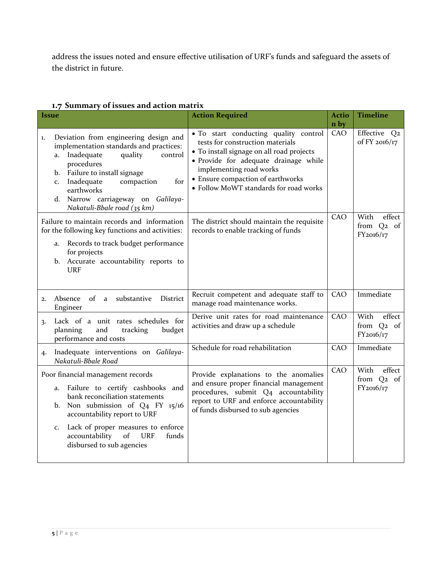address the issues noted and ensure effective utilisation of URF's funds and safeguard the assets of the district in future.

| <i><u><b>Issue</b></u></i> |                                                                                                                                                                                                                                                                                                                         | <b>Action Required</b>                                                                                                                                                                                                                                                    | <b>Actio</b><br>n by | <b>Timeline</b>                                       |
|----------------------------|-------------------------------------------------------------------------------------------------------------------------------------------------------------------------------------------------------------------------------------------------------------------------------------------------------------------------|---------------------------------------------------------------------------------------------------------------------------------------------------------------------------------------------------------------------------------------------------------------------------|----------------------|-------------------------------------------------------|
| 1.                         | Deviation from engineering design and<br>implementation standards and practices:<br>Inadequate<br>quality<br>control<br>a.<br>procedures<br>Failure to install signage<br>$\mathbf{b}$ .<br>Inadequate<br>for<br>compaction<br>c.<br>earthworks<br>Narrow carriageway on Galilaya-<br>d.<br>Nakatuli-Bbale road (35 km) | . To start conducting quality control<br>tests for construction materials<br>• To install signage on all road projects<br>· Provide for adequate drainage while<br>implementing road works<br>• Ensure compaction of earthworks<br>• Follow MoWT standards for road works | CAO                  | Effective Q2<br>of FY 2016/17                         |
|                            | Failure to maintain records and information<br>for the following key functions and activities:<br>Records to track budget performance<br>a.<br>for projects<br>b. Accurate accountability reports to<br><b>URF</b>                                                                                                      | The district should maintain the requisite<br>records to enable tracking of funds                                                                                                                                                                                         | CAO                  | With<br>effect<br>from Q <sub>2</sub> of<br>FY2016/17 |
| 2.                         | substantive<br>District<br>Absence<br>of<br>a<br>Engineer                                                                                                                                                                                                                                                               | Recruit competent and adequate staff to<br>manage road maintenance works.                                                                                                                                                                                                 | CAO                  | Immediate                                             |
| 3.                         | Lack of a unit rates schedules for<br>tracking<br>planning<br>and<br>budget<br>performance and costs                                                                                                                                                                                                                    | Derive unit rates for road maintenance<br>activities and draw up a schedule                                                                                                                                                                                               | <b>CAO</b>           | With<br>effect<br>from Q <sub>2</sub> of<br>FY2016/17 |
| 4.                         | Inadequate interventions on Galilaya-<br>Nakatuli-Bbale Road                                                                                                                                                                                                                                                            | Schedule for road rehabilitation                                                                                                                                                                                                                                          | CAO                  | Immediate                                             |
|                            | Poor financial management records<br>Failure to certify cashbooks and<br>a.<br>bank reconciliation statements<br>Non submission of Q4 FY 15/16<br>b.<br>accountability report to URF<br>Lack of proper measures to enforce<br>c.<br>accountability<br>of<br><b>URF</b><br>funds<br>disbursed to sub agencies            | Provide explanations to the anomalies<br>and ensure proper financial management<br>procedures, submit Q4 accountability<br>report to URF and enforce accountability<br>of funds disbursed to sub agencies                                                                 | CAO                  | effect<br>With<br>from Q <sub>2</sub> of<br>FY2016/17 |

## <span id="page-4-0"></span>**1.7 Summary of issues and action matrix**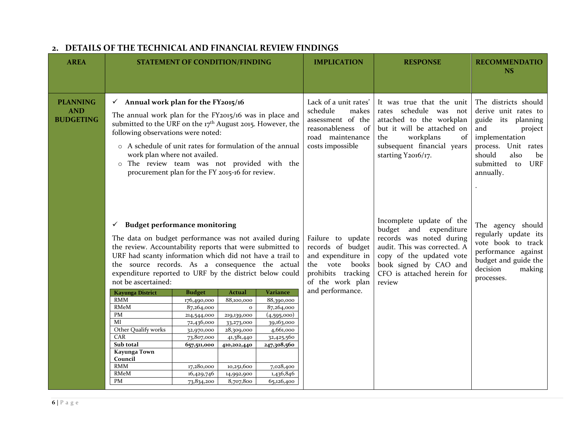<span id="page-5-0"></span>

| <b>AREA</b>                                       |                                                                                                                                                                                                                                                                                                                                                                                                                          | <b>STATEMENT OF CONDITION/FINDING</b>                                                                                                                        |                                                                                                                                                              |                                                                                                                                                     | <b>IMPLICATION</b>                                                                                                                | <b>RESPONSE</b>                                                                                                                                                                                              | <b>RECOMMENDATIO</b><br><b>NS</b>                                                                                                                                                                   |
|---------------------------------------------------|--------------------------------------------------------------------------------------------------------------------------------------------------------------------------------------------------------------------------------------------------------------------------------------------------------------------------------------------------------------------------------------------------------------------------|--------------------------------------------------------------------------------------------------------------------------------------------------------------|--------------------------------------------------------------------------------------------------------------------------------------------------------------|-----------------------------------------------------------------------------------------------------------------------------------------------------|-----------------------------------------------------------------------------------------------------------------------------------|--------------------------------------------------------------------------------------------------------------------------------------------------------------------------------------------------------------|-----------------------------------------------------------------------------------------------------------------------------------------------------------------------------------------------------|
|                                                   |                                                                                                                                                                                                                                                                                                                                                                                                                          |                                                                                                                                                              |                                                                                                                                                              |                                                                                                                                                     |                                                                                                                                   |                                                                                                                                                                                                              |                                                                                                                                                                                                     |
| <b>PLANNING</b><br><b>AND</b><br><b>BUDGETING</b> | $\checkmark$ Annual work plan for the FY2015/16<br>The annual work plan for the FY2015/16 was in place and<br>submitted to the URF on the 17 <sup>th</sup> August 2015. However, the<br>following observations were noted:<br>o A schedule of unit rates for formulation of the annual<br>work plan where not availed.<br>o The review team was not provided with the<br>procurement plan for the FY 2015-16 for review. |                                                                                                                                                              |                                                                                                                                                              |                                                                                                                                                     | Lack of a unit rates'<br>schedule<br>makes<br>assessment of the<br>reasonableness<br>- of<br>road maintenance<br>costs impossible | It was true that the unit<br>rates schedule was not<br>attached to the workplan<br>but it will be attached on<br>workplans<br>of<br>the<br>subsequent financial years<br>starting Y2016/17.                  | The districts should<br>derive unit rates to<br>guide its planning<br>and<br>project<br>implementation<br>process. Unit rates<br>should<br>also<br>be<br><b>URF</b><br>submitted<br>to<br>annually. |
|                                                   | <b>Budget performance monitoring</b><br>✓<br>The data on budget performance was not availed during<br>the review. Accountability reports that were submitted to<br>URF had scanty information which did not have a trail to<br>the source records. As a consequence the actual<br>expenditure reported to URF by the district below could<br>not be ascertained:                                                         |                                                                                                                                                              |                                                                                                                                                              |                                                                                                                                                     | Failure to update<br>records of budget<br>and expenditure in<br>the vote books<br>prohibits tracking<br>of the work plan          | Incomplete update of the<br>budget and expenditure<br>records was noted during<br>audit. This was corrected. A<br>copy of the updated vote<br>book signed by CAO and<br>CFO is attached herein for<br>review | The agency should<br>regularly update its<br>vote book to track<br>performance against<br>budget and guide the<br>decision<br>making<br>processes.                                                  |
|                                                   | <b>Kayunga District</b><br><b>RMM</b><br>RMeM<br>PM<br>MI<br>Other Qualify works<br>CAR<br>Sub total<br>Kayunga Town<br>Council<br><b>RMM</b><br>RMeM<br>PM                                                                                                                                                                                                                                                              | <b>Budget</b><br>176,490,000<br>87,264,000<br>214,544,000<br>72,436,000<br>32,970,000<br>73,807,000<br>657,511,000<br>17,280,000<br>16,429,746<br>73,834,200 | <b>Actual</b><br>88,100,000<br>$\mathbf{o}$<br>219,139,000<br>33,273,000<br>28,309,000<br>41,381,440<br>410,202,440<br>10,251,600<br>14,992,900<br>8,707,800 | Variance<br>88,390,000<br>87,264,000<br>(4,595,000)<br>39,163,000<br>4,661,000<br>32,425,560<br>247,308,560<br>7,028,400<br>1,436,846<br>65,126,400 | and performance.                                                                                                                  |                                                                                                                                                                                                              |                                                                                                                                                                                                     |

## **2. DETAILS OF THE TECHNICAL AND FINANCIAL REVIEW FINDINGS**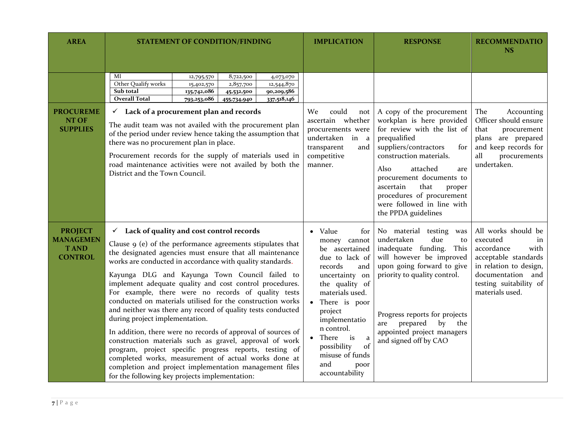| <b>AREA</b>                                                         | <b>STATEMENT OF CONDITION/FINDING</b>                                                                                                                                                                                                                                                                                                                                                                                                                                                                                                                                                                                                                                                                                                                                                                                                                                                                                                      | <b>IMPLICATION</b>                                                                                                                                                                                                                                                                                             | <b>RESPONSE</b>                                                                                                                                                                                                                                                                                                                          | <b>RECOMMENDATIO</b><br><b>NS</b>                                                                                                                                               |
|---------------------------------------------------------------------|--------------------------------------------------------------------------------------------------------------------------------------------------------------------------------------------------------------------------------------------------------------------------------------------------------------------------------------------------------------------------------------------------------------------------------------------------------------------------------------------------------------------------------------------------------------------------------------------------------------------------------------------------------------------------------------------------------------------------------------------------------------------------------------------------------------------------------------------------------------------------------------------------------------------------------------------|----------------------------------------------------------------------------------------------------------------------------------------------------------------------------------------------------------------------------------------------------------------------------------------------------------------|------------------------------------------------------------------------------------------------------------------------------------------------------------------------------------------------------------------------------------------------------------------------------------------------------------------------------------------|---------------------------------------------------------------------------------------------------------------------------------------------------------------------------------|
|                                                                     | MI<br>8,722,500<br>12,795,570<br>4,073,070<br>Other Qualify works<br>15,402,570<br>2,857,700<br>12,544,870<br>Sub total<br>90,209,586<br>135,742,086<br>45,532,500<br><b>Overall Total</b><br>337,518,146<br>793,253,086<br>455,734,940                                                                                                                                                                                                                                                                                                                                                                                                                                                                                                                                                                                                                                                                                                    |                                                                                                                                                                                                                                                                                                                |                                                                                                                                                                                                                                                                                                                                          |                                                                                                                                                                                 |
| <b>PROCUREME</b><br>NT OF<br><b>SUPPLIES</b>                        | Lack of a procurement plan and records<br>$\checkmark$<br>The audit team was not availed with the procurement plan<br>of the period under review hence taking the assumption that<br>there was no procurement plan in place.<br>Procurement records for the supply of materials used in<br>road maintenance activities were not availed by both the<br>District and the Town Council.                                                                                                                                                                                                                                                                                                                                                                                                                                                                                                                                                      | could<br>We-<br>not<br>ascertain whether<br>procurements were<br>undertaken in<br>$\mathbf{a}$<br>transparent<br>and<br>competitive<br>manner.                                                                                                                                                                 | A copy of the procurement<br>workplan is here provided<br>for review with the list of<br>prequalified<br>suppliers/contractors<br>for<br>construction materials.<br>Also<br>attached<br>are<br>procurement documents to<br>ascertain<br>that<br>proper<br>procedures of procurement<br>were followed in line with<br>the PPDA guidelines | The<br>Accounting<br>Officer should ensure<br>that<br>procurement<br>plans are prepared<br>and keep records for<br>all<br>procurements<br>undertaken.                           |
| <b>PROJECT</b><br><b>MANAGEMEN</b><br><b>TAND</b><br><b>CONTROL</b> | $\checkmark$ Lack of quality and cost control records<br>Clause $9$ (e) of the performance agreements stipulates that<br>the designated agencies must ensure that all maintenance<br>works are conducted in accordance with quality standards.<br>Kayunga DLG and Kayunga Town Council failed to<br>implement adequate quality and cost control procedures.<br>For example, there were no records of quality tests<br>conducted on materials utilised for the construction works<br>and neither was there any record of quality tests conducted<br>during project implementation.<br>In addition, there were no records of approval of sources of<br>construction materials such as gravel, approval of work<br>program, project specific progress reports, testing of<br>completed works, measurement of actual works done at<br>completion and project implementation management files<br>for the following key projects implementation: | Value<br>for<br>$\bullet$<br>money cannot<br>be ascertained<br>due to lack of<br>records<br>and<br>uncertainty on<br>the quality of<br>materials used.<br>There is poor<br>project<br>implementatio<br>n control.<br>There<br>is<br>a<br>possibility<br>of<br>misuse of funds<br>and<br>poor<br>accountability | No material testing was<br>undertaken<br>due<br>to<br>inadequate funding.<br>This<br>will however be improved<br>upon going forward to give<br>priority to quality control.<br>Progress reports for projects<br>prepared<br>by<br>the<br>are<br>appointed project managers<br>and signed off by CAO                                      | All works should be<br>executed<br>in<br>accordance<br>with<br>acceptable standards<br>in relation to design,<br>documentation and<br>testing suitability of<br>materials used. |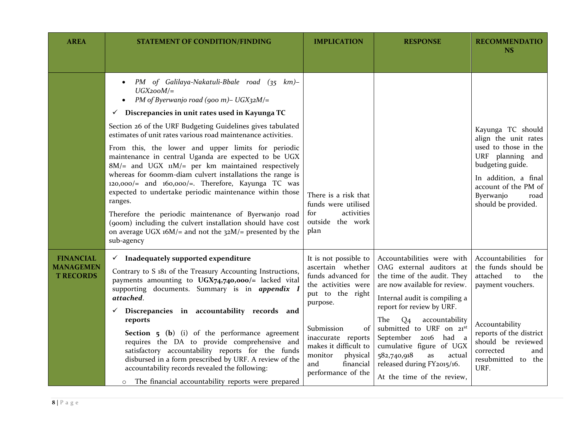| <b>AREA</b>                                              | <b>STATEMENT OF CONDITION/FINDING</b>                                                                                                                                                                                                                                                                                                                         | <b>IMPLICATION</b>                                                                                                               | <b>RESPONSE</b>                                                                                                                                                                                                    | <b>RECOMMENDATIO</b><br><b>NS</b>                                                                                                                        |
|----------------------------------------------------------|---------------------------------------------------------------------------------------------------------------------------------------------------------------------------------------------------------------------------------------------------------------------------------------------------------------------------------------------------------------|----------------------------------------------------------------------------------------------------------------------------------|--------------------------------------------------------------------------------------------------------------------------------------------------------------------------------------------------------------------|----------------------------------------------------------------------------------------------------------------------------------------------------------|
|                                                          |                                                                                                                                                                                                                                                                                                                                                               |                                                                                                                                  |                                                                                                                                                                                                                    |                                                                                                                                                          |
|                                                          | PM of Galilaya-Nakatuli-Bbale road (35 km)-<br>$UGX2ooM/=$<br>PM of Byerwanjo road (900 m) - UGX32M/=                                                                                                                                                                                                                                                         |                                                                                                                                  |                                                                                                                                                                                                                    |                                                                                                                                                          |
|                                                          | Discrepancies in unit rates used in Kayunga TC<br>$\checkmark$                                                                                                                                                                                                                                                                                                |                                                                                                                                  |                                                                                                                                                                                                                    |                                                                                                                                                          |
|                                                          | Section 26 of the URF Budgeting Guidelines gives tabulated<br>estimates of unit rates various road maintenance activities.                                                                                                                                                                                                                                    |                                                                                                                                  |                                                                                                                                                                                                                    | Kayunga TC should<br>align the unit rates                                                                                                                |
|                                                          | From this, the lower and upper limits for periodic<br>maintenance in central Uganda are expected to be UGX<br>8M/= and UGX uM/= per km maintained respectively<br>whereas for 600mm-diam culvert installations the range is<br>$120,000/$ = and $160,000/$ =. Therefore, Kayunga TC was<br>expected to undertake periodic maintenance within those<br>ranges. |                                                                                                                                  |                                                                                                                                                                                                                    | used to those in the<br>URF planning and<br>budgeting guide.<br>In addition, a final<br>account of the PM of<br>Byerwanjo<br>road<br>should be provided. |
|                                                          | Therefore the periodic maintenance of Byerwanjo road<br>(900m) including the culvert installation should have cost<br>on average UGX $16M$ = and not the $32M$ = presented by the<br>sub-agency                                                                                                                                                               | activities<br>for<br>outside the work<br>plan                                                                                    |                                                                                                                                                                                                                    |                                                                                                                                                          |
| <b>FINANCIAL</b><br><b>MANAGEMEN</b><br><b>T RECORDS</b> | $\checkmark$ Inadequately supported expenditure<br>Contrary to S 181 of the Treasury Accounting Instructions,<br>payments amounting to UGX74,740,000/= lacked vital<br>supporting documents. Summary is in appendix I<br>attached.<br>Discrepancies in accountability records and<br>$\checkmark$                                                             | It is not possible to<br>ascertain whether<br>funds advanced for<br>the activities were<br>put to the right<br>purpose.          | Accountabilities were with<br>OAG external auditors at<br>the time of the audit. They<br>are now available for review.<br>Internal audit is compiling a<br>report for review by URF.                               | Accountabilities<br>for<br>the funds should be<br>attached<br>to<br>the<br>payment vouchers.                                                             |
|                                                          | reports<br><b>Section 5 (b)</b> (i) of the performance agreement<br>requires the DA to provide comprehensive and<br>satisfactory accountability reports for the funds<br>disbursed in a form prescribed by URF. A review of the<br>accountability records revealed the following:<br>The financial accountability reports were prepared<br>$\circ$            | Submission<br>of<br>inaccurate reports<br>makes it difficult to<br>physical<br>monitor<br>and<br>financial<br>performance of the | The<br>accountability<br>Q <sub>4</sub><br>submitted to URF on 21st<br>September 2016 had a<br>cumulative figure of UGX<br>582,740,918<br>actual<br>as<br>released during FY2015/16.<br>At the time of the review, | Accountability<br>reports of the district<br>should be reviewed<br>corrected<br>and<br>resubmitted to<br>the<br>URF.                                     |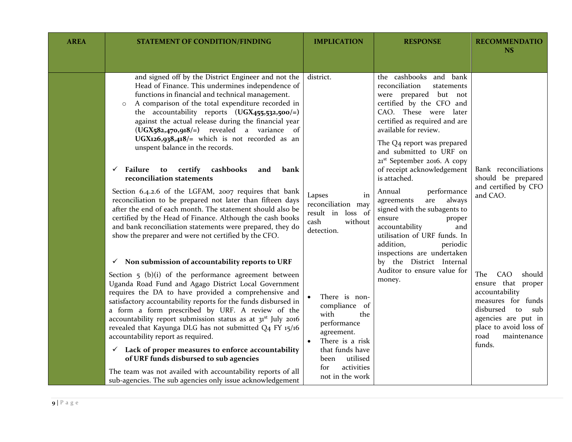| <b>AREA</b> | <b>STATEMENT OF CONDITION/FINDING</b>                                                                                                                                                                                                                                                                                                                                                                                                                                                                                                                                                                                                                                                                                                                                         | <b>IMPLICATION</b>                                                                                                                                                           | <b>RESPONSE</b>                                                                                                                                                                                                                                                                                    | <b>RECOMMENDATIO</b><br><b>NS</b>                                                                                                                                                              |
|-------------|-------------------------------------------------------------------------------------------------------------------------------------------------------------------------------------------------------------------------------------------------------------------------------------------------------------------------------------------------------------------------------------------------------------------------------------------------------------------------------------------------------------------------------------------------------------------------------------------------------------------------------------------------------------------------------------------------------------------------------------------------------------------------------|------------------------------------------------------------------------------------------------------------------------------------------------------------------------------|----------------------------------------------------------------------------------------------------------------------------------------------------------------------------------------------------------------------------------------------------------------------------------------------------|------------------------------------------------------------------------------------------------------------------------------------------------------------------------------------------------|
|             |                                                                                                                                                                                                                                                                                                                                                                                                                                                                                                                                                                                                                                                                                                                                                                               |                                                                                                                                                                              |                                                                                                                                                                                                                                                                                                    |                                                                                                                                                                                                |
|             | and signed off by the District Engineer and not the<br>Head of Finance. This undermines independence of<br>functions in financial and technical management.<br>A comparison of the total expenditure recorded in<br>$\circ$<br>the accountability reports (UGX455,532,500/=)<br>against the actual release during the financial year<br>$(UGX_582,470,918/=)$ revealed a variance of<br>UGX126,938,418/= which is not recorded as an<br>unspent balance in the records.                                                                                                                                                                                                                                                                                                       | district.                                                                                                                                                                    | the cashbooks and bank<br>reconciliation<br>statements<br>were prepared but not<br>certified by the CFO and<br>CAO. These were later<br>certified as required and are<br>available for review.<br>The Q4 report was prepared<br>and submitted to URF on<br>21 <sup>st</sup> September 2016. A copy |                                                                                                                                                                                                |
|             | Failure<br>certify<br>cashbooks<br>$\checkmark$<br>to<br>and<br>bank<br>reconciliation statements<br>Section 6.4.2.6 of the LGFAM, 2007 requires that bank<br>reconciliation to be prepared not later than fifteen days<br>after the end of each month. The statement should also be<br>certified by the Head of Finance. Although the cash books<br>and bank reconciliation statements were prepared, they do<br>show the preparer and were not certified by the CFO.                                                                                                                                                                                                                                                                                                        | Lapses<br>in<br>reconciliation may<br>result in loss of<br>cash<br>without<br>detection.                                                                                     | of receipt acknowledgement<br>is attached.<br>performance<br>Annual<br>agreements<br>are<br>always<br>signed with the subagents to<br>ensure<br>proper<br>accountability<br>and<br>utilisation of URF funds. In<br>addition,<br>periodic<br>inspections are undertaken                             | Bank reconciliations<br>should be prepared<br>and certified by CFO<br>and CAO.                                                                                                                 |
|             | Non submission of accountability reports to URF<br>✓<br>Section $5$ (b)(i) of the performance agreement between<br>Uganda Road Fund and Agago District Local Government<br>requires the DA to have provided a comprehensive and<br>satisfactory accountability reports for the funds disbursed in<br>a form a form prescribed by URF. A review of the<br>accountability report submission status as at 31 <sup>st</sup> July 2016<br>revealed that Kayunga DLG has not submitted Q4 FY 15/16<br>accountability report as required.<br>Lack of proper measures to enforce accountability<br>$\checkmark$<br>of URF funds disbursed to sub agencies<br>The team was not availed with accountability reports of all<br>sub-agencies. The sub agencies only issue acknowledgement | There is non-<br>compliance of<br>with<br>the<br>performance<br>agreement.<br>There is a risk<br>that funds have<br>utilised<br>been<br>for<br>activities<br>not in the work | by the District Internal<br>Auditor to ensure value for<br>money.                                                                                                                                                                                                                                  | The<br>CAO<br>should<br>ensure that proper<br>accountability<br>measures for funds<br>disbursed<br>sub<br>to<br>agencies are put in<br>place to avoid loss of<br>road<br>maintenance<br>funds. |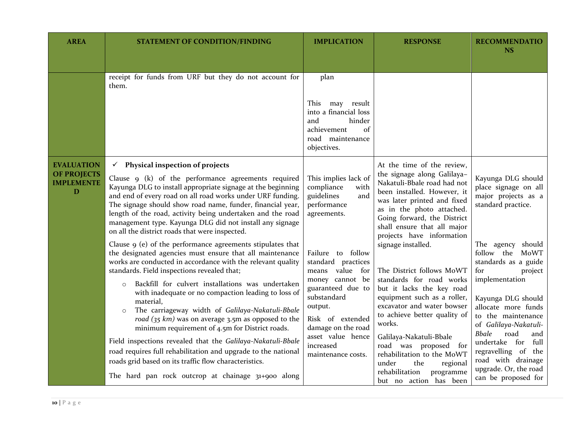| <b>AREA</b>                                                       | <b>STATEMENT OF CONDITION/FINDING</b>                                                                                                                                                                                                                                                                                                                                                                                                                                                                                                              | <b>IMPLICATION</b>                                                                                                                                                 | <b>RESPONSE</b>                                                                                                                                                                                                                                                                                                                                                                                                                                                                                                                                                                                                                                                                                      | <b>RECOMMENDATIO</b><br>NS                                                                                                                                                                                                     |
|-------------------------------------------------------------------|----------------------------------------------------------------------------------------------------------------------------------------------------------------------------------------------------------------------------------------------------------------------------------------------------------------------------------------------------------------------------------------------------------------------------------------------------------------------------------------------------------------------------------------------------|--------------------------------------------------------------------------------------------------------------------------------------------------------------------|------------------------------------------------------------------------------------------------------------------------------------------------------------------------------------------------------------------------------------------------------------------------------------------------------------------------------------------------------------------------------------------------------------------------------------------------------------------------------------------------------------------------------------------------------------------------------------------------------------------------------------------------------------------------------------------------------|--------------------------------------------------------------------------------------------------------------------------------------------------------------------------------------------------------------------------------|
|                                                                   |                                                                                                                                                                                                                                                                                                                                                                                                                                                                                                                                                    |                                                                                                                                                                    |                                                                                                                                                                                                                                                                                                                                                                                                                                                                                                                                                                                                                                                                                                      |                                                                                                                                                                                                                                |
|                                                                   | receipt for funds from URF but they do not account for<br>them.                                                                                                                                                                                                                                                                                                                                                                                                                                                                                    | plan                                                                                                                                                               |                                                                                                                                                                                                                                                                                                                                                                                                                                                                                                                                                                                                                                                                                                      |                                                                                                                                                                                                                                |
|                                                                   |                                                                                                                                                                                                                                                                                                                                                                                                                                                                                                                                                    | This may result<br>into a financial loss<br>hinder<br>and<br>of<br>achievement<br>road maintenance<br>objectives.                                                  |                                                                                                                                                                                                                                                                                                                                                                                                                                                                                                                                                                                                                                                                                                      |                                                                                                                                                                                                                                |
| <b>EVALUATION</b><br><b>OF PROJECTS</b><br><b>IMPLEMENTE</b><br>D | $\checkmark$ Physical inspection of projects<br>Clause 9 (k) of the performance agreements required<br>Kayunga DLG to install appropriate signage at the beginning<br>and end of every road on all road works under URF funding.<br>The signage should show road name, funder, financial year,<br>length of the road, activity being undertaken and the road<br>management type. Kayunga DLG did not install any signage<br>on all the district roads that were inspected.                                                                         | This implies lack of<br>compliance<br>with<br>guidelines<br>and<br>performance<br>agreements.                                                                      | At the time of the review,<br>the signage along Galilaya-<br>Nakatuli-Bbale road had not<br>been installed. However, it<br>was later printed and fixed<br>as in the photo attached.<br>Going forward, the District<br>shall ensure that all major<br>projects have information<br>signage installed.<br>The District follows MoWT<br>for<br>standards for road works<br>but it lacks the key road<br>equipment such as a roller,<br>excavator and water bowser<br>to achieve better quality of<br>works.<br>asset value hence<br>Galilaya-Nakatuli-Bbale<br>road was proposed for<br>rehabilitation to the MoWT<br>under<br>the<br>regional<br>rehabilitation<br>programme<br>but no action has been | Kayunga DLG should<br>place signage on all<br>major projects as a<br>standard practice.                                                                                                                                        |
|                                                                   | Clause 9 (e) of the performance agreements stipulates that<br>the designated agencies must ensure that all maintenance<br>works are conducted in accordance with the relevant quality<br>standards. Field inspections revealed that;<br>Backfill for culvert installations was undertaken<br>$\circ$<br>with inadequate or no compaction leading to loss of<br>material,<br>The carriageway width of Galilaya-Nakatuli-Bbale<br>$\circ$<br>road $(35 km)$ was on average 3.5m as opposed to the<br>minimum requirement of 4.5m for District roads. | Failure to follow<br>standard practices<br>means value<br>money cannot be<br>guaranteed due to<br>substandard<br>output.<br>Risk of extended<br>damage on the road |                                                                                                                                                                                                                                                                                                                                                                                                                                                                                                                                                                                                                                                                                                      | The agency should<br>follow the<br>MoWT<br>standards as a guide<br>for<br>project<br>implementation<br>Kayunga DLG should<br>allocate more funds<br>to the maintenance<br>of Galilaya-Nakatuli-<br><b>Bbale</b><br>road<br>and |
|                                                                   | Field inspections revealed that the Galilaya-Nakatuli-Bbale<br>road requires full rehabilitation and upgrade to the national<br>roads grid based on its traffic flow characteristics.<br>The hard pan rock outcrop at chainage 31+900 along                                                                                                                                                                                                                                                                                                        | increased<br>maintenance costs.                                                                                                                                    |                                                                                                                                                                                                                                                                                                                                                                                                                                                                                                                                                                                                                                                                                                      | undertake for<br>full<br>regravelling of the<br>road with drainage<br>upgrade. Or, the road<br>can be proposed for                                                                                                             |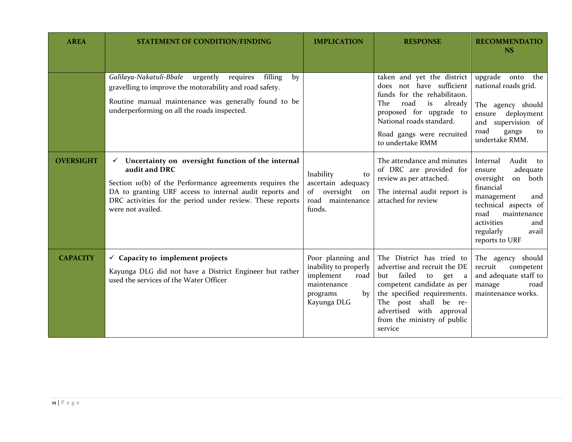| <b>AREA</b>      | <b>STATEMENT OF CONDITION/FINDING</b>                                                                                                                                                                                                                                            | <b>IMPLICATION</b>                                                                                              | <b>RESPONSE</b>                                                                                                                                                                                                                                 | <b>RECOMMENDATIO</b><br><b>NS</b>                                                                                                                                                                                   |
|------------------|----------------------------------------------------------------------------------------------------------------------------------------------------------------------------------------------------------------------------------------------------------------------------------|-----------------------------------------------------------------------------------------------------------------|-------------------------------------------------------------------------------------------------------------------------------------------------------------------------------------------------------------------------------------------------|---------------------------------------------------------------------------------------------------------------------------------------------------------------------------------------------------------------------|
|                  | Galilaya-Nakatuli-Bbale<br>urgently<br>requires<br>filling<br>by<br>gravelling to improve the motorability and road safety.<br>Routine manual maintenance was generally found to be<br>underperforming on all the roads inspected.                                               |                                                                                                                 | taken and yet the district<br>does not have sufficient<br>funds for the rehabilitaon.<br>road<br>already<br>The<br>is<br>proposed for upgrade to<br>National roads standard.<br>Road gangs were recruited<br>to undertake RMM                   | upgrade onto<br>the<br>national roads grid.<br>The agency should<br>deployment<br>ensure<br>supervision of<br>and<br>road<br>gangs<br>to<br>undertake RMM.                                                          |
| <b>OVERSIGHT</b> | Uncertainty on oversight function of the internal<br>✓<br>audit and DRC<br>Section 10(b) of the Performance agreements requires the<br>DA to granting URF access to internal audit reports and<br>DRC activities for the period under review. These reports<br>were not availed. | Inability<br>to<br>ascertain adequacy<br>of<br>oversight<br>on<br>road maintenance<br>funds.                    | The attendance and minutes<br>of DRC are provided for<br>review as per attached.<br>The internal audit report is<br>attached for review                                                                                                         | Audit<br>Internal<br>to<br>adequate<br>ensure<br>oversight<br>on both<br>financial<br>management<br>and<br>technical aspects of<br>road<br>maintenance<br>activities<br>and<br>regularly<br>avail<br>reports to URF |
| <b>CAPACITY</b>  | $\checkmark$ Capacity to implement projects<br>Kayunga DLG did not have a District Engineer but rather<br>used the services of the Water Officer                                                                                                                                 | Poor planning and<br>inability to properly<br>implement<br>road<br>maintenance<br>programs<br>by<br>Kayunga DLG | The District has tried to<br>advertise and recruit the DE<br>failed to get a<br>but<br>competent candidate as per<br>the specified requirements.<br>The post shall be re-<br>advertised with approval<br>from the ministry of public<br>service | The agency should<br>recruit<br>competent<br>and adequate staff to<br>manage<br>road<br>maintenance works.                                                                                                          |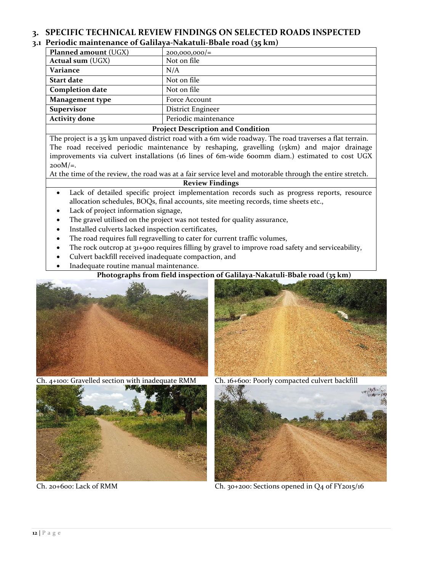## <span id="page-11-0"></span>**3. SPECIFIC TECHNICAL REVIEW FINDINGS ON SELECTED ROADS INSPECTED**

## <span id="page-11-1"></span>**3.1 Periodic maintenance of Galilaya-Nakatuli-Bbale road (35 km)**

| <b>Planned amount (UGX)</b>              | $200,000,000/$ =     |  |
|------------------------------------------|----------------------|--|
| <b>Actual sum (UGX)</b>                  | Not on file          |  |
| Variance                                 | N/A                  |  |
| <b>Start date</b>                        | Not on file          |  |
| <b>Completion date</b>                   | Not on file          |  |
| Management type                          | Force Account        |  |
| <b>Supervisor</b>                        | District Engineer    |  |
| <b>Activity done</b>                     | Periodic maintenance |  |
| <b>Project Description and Condition</b> |                      |  |

The project is a 35 km unpaved district road with a 6m wide roadway. The road traverses a flat terrain. The road received periodic maintenance by reshaping, gravelling (15km) and major drainage improvements via culvert installations (16 lines of 6m-wide 600mm diam.) estimated to cost UGX  $200M/\varepsilon$ .

At the time of the review, the road was at a fair service level and motorable through the entire stretch.

### **Review Findings**

- Lack of detailed specific project implementation records such as progress reports, resource allocation schedules, BOQs, final accounts, site meeting records, time sheets etc.,
- Lack of project information signage,
- The gravel utilised on the project was not tested for quality assurance,
- Installed culverts lacked inspection certificates,
- The road requires full regravelling to cater for current traffic volumes,
- The rock outcrop at 31+900 requires filling by gravel to improve road safety and serviceability,
- Culvert backfill received inadequate compaction, and
- Inadequate routine manual maintenance.

## **Photographs from field inspection of Galilaya-Nakatuli-Bbale road (35 km)**



Ch. 4+100: Gravelled section with inadequate RMM Ch. 16+600: Poorly compacted culvert backfill







Ch. 20+600: Lack of RMM Ch. 30+200: Sections opened in Q4 of FY2015/16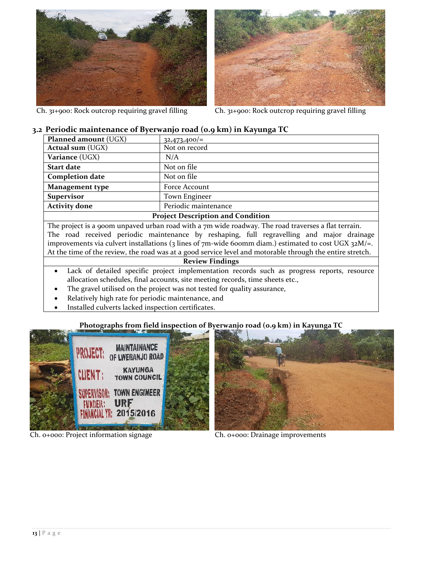

Ch. 31+900: Rock outcrop requiring gravel filling Ch. 31+900: Rock outcrop requiring gravel filling



## <span id="page-12-0"></span>**3.2 Periodic maintenance of Byerwanjo road (0.9 km) in Kayunga TC**

| <b>Planned amount (UGX)</b>              | $32,473,400/=$       |  |  |
|------------------------------------------|----------------------|--|--|
| <b>Actual sum (UGX)</b>                  | Not on record        |  |  |
| Variance (UGX)                           | N/A                  |  |  |
| <b>Start date</b>                        | Not on file          |  |  |
| <b>Completion date</b>                   | Not on file          |  |  |
| Management type                          | Force Account        |  |  |
| <b>Supervisor</b>                        | Town Engineer        |  |  |
| <b>Activity done</b>                     | Periodic maintenance |  |  |
| <b>Project Description and Condition</b> |                      |  |  |

The project is a 900m unpaved urban road with a 7m wide roadway. The road traverses a flat terrain. The road received periodic maintenance by reshaping, full regravelling and major drainage improvements via culvert installations (3 lines of 7m-wide 600mm diam.) estimated to cost UGX 32M/=. At the time of the review, the road was at a good service level and motorable through the entire stretch.

#### **Review Findings**

- Lack of detailed specific project implementation records such as progress reports, resource allocation schedules, final accounts, site meeting records, time sheets etc.,
- The gravel utilised on the project was not tested for quality assurance,
- Relatively high rate for periodic maintenance, and
- Installed culverts lacked inspection certificates.

## **Photographs from field inspection of Byerwanjo road (0.9 km) in Kayunga TC**



Ch. 0+000: Project information signage Ch. 0+000: Drainage improvements

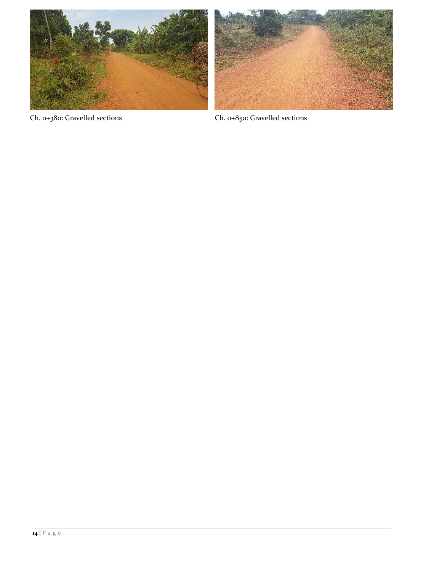



Ch. 0+380: Gravelled sections Ch. 0+850: Gravelled sections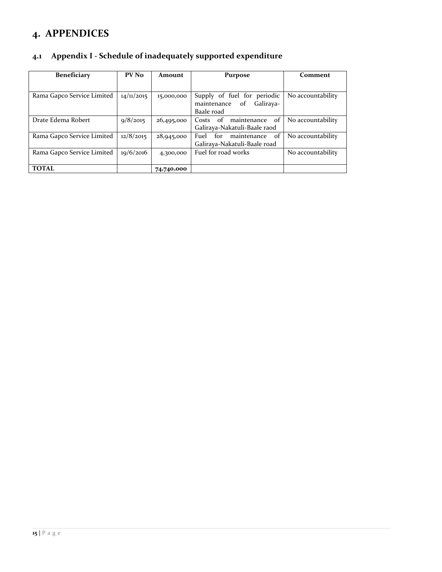# <span id="page-14-0"></span>**4. APPENDICES**

<span id="page-14-1"></span>

| 4.1 | Appendix I - Schedule of inadequately supported expenditure |  |
|-----|-------------------------------------------------------------|--|
|     |                                                             |  |

<span id="page-14-2"></span>

| <b>Beneficiary</b>         | PV No      | Amount     | <b>Purpose</b>                                                              | Comment           |
|----------------------------|------------|------------|-----------------------------------------------------------------------------|-------------------|
|                            |            |            |                                                                             |                   |
| Rama Gapco Service Limited | 14/11/2015 | 15,000,000 | Supply of fuel for periodic<br>of<br>maintenance<br>Galiraya-<br>Baale road | No accountability |
| Drate Edema Robert         | 9/8/2015   | 26,495,000 | of<br>Costs of maintenance<br>Galiraya-Nakatuli-Baale raod                  | No accountability |
| Rama Gapco Service Limited | 12/8/2015  | 28,945,000 | $\alpha$ f<br>for<br>maintenance<br>Fuel<br>Galiraya-Nakatuli-Baale road    | No accountability |
| Rama Gapco Service Limited | 19/6/2016  | 4,300,000  | Fuel for road works                                                         | No accountability |
| <b>TOTAL</b>               |            | 74,740,000 |                                                                             |                   |